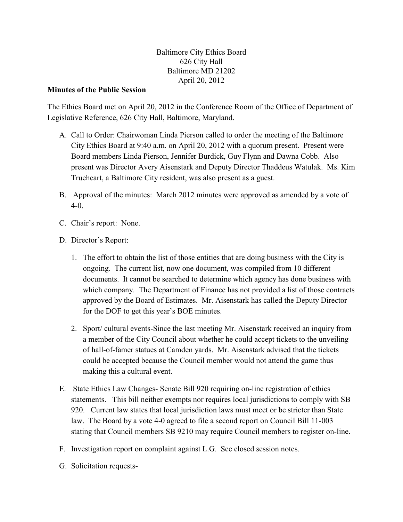Baltimore City Ethics Board 626 City Hall Baltimore MD 21202 April 20, 2012

## **Minutes of the Public Session**

The Ethics Board met on April 20, 2012 in the Conference Room of the Office of Department of Legislative Reference, 626 City Hall, Baltimore, Maryland.

- A. Call to Order: Chairwoman Linda Pierson called to order the meeting of the Baltimore City Ethics Board at 9:40 a.m. on April 20, 2012 with a quorum present. Present were Board members Linda Pierson, Jennifer Burdick, Guy Flynn and Dawna Cobb. Also present was Director Avery Aisenstark and Deputy Director Thaddeus Watulak. Ms. Kim Trueheart, a Baltimore City resident, was also present as a guest.
- B. Approval of the minutes: March 2012 minutes were approved as amended by a vote of 4-0.
- C. Chair's report: None.
- D. Director's Report:
	- 1. The effort to obtain the list of those entities that are doing business with the City is ongoing. The current list, now one document, was compiled from 10 different documents. It cannot be searched to determine which agency has done business with which company. The Department of Finance has not provided a list of those contracts approved by the Board of Estimates. Mr. Aisenstark has called the Deputy Director for the DOF to get this year's BOE minutes.
	- 2. Sport/ cultural events-Since the last meeting Mr. Aisenstark received an inquiry from a member of the City Council about whether he could accept tickets to the unveiling of hall-of-famer statues at Camden yards. Mr. Aisenstark advised that the tickets could be accepted because the Council member would not attend the game thus making this a cultural event.
- E. State Ethics Law Changes- Senate Bill 920 requiring on-line registration of ethics statements. This bill neither exempts nor requires local jurisdictions to comply with SB 920. Current law states that local jurisdiction laws must meet or be stricter than State law. The Board by a vote 4-0 agreed to file a second report on Council Bill 11-003 stating that Council members SB 9210 may require Council members to register on-line.
- F. Investigation report on complaint against L.G. See closed session notes.
- G. Solicitation requests-